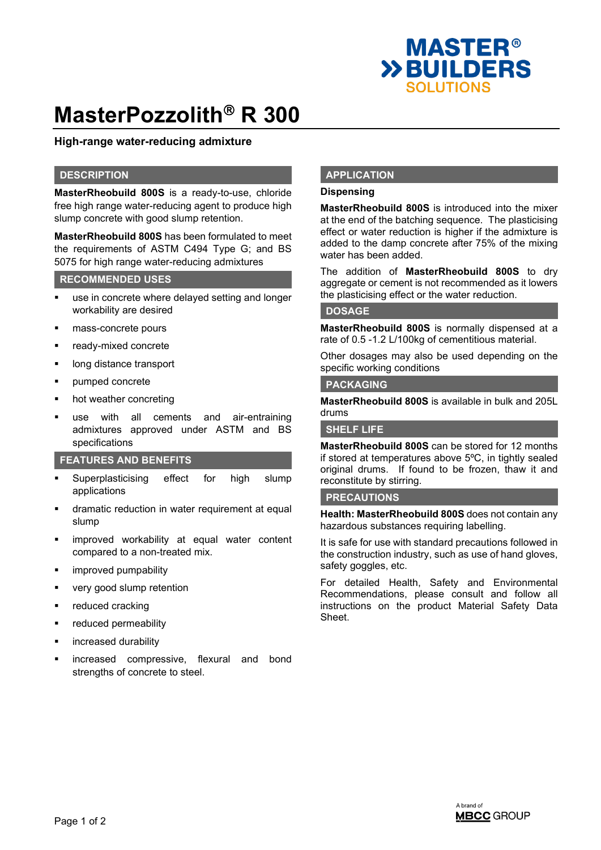

# **MasterPozzolith<sup>®</sup> R 300**

## **High-range water-reducing admixture**

### **DESCRIPTION**

**MasterRheobuild 800S** is a ready-to-use, chloride free high range water-reducing agent to produce high slump concrete with good slump retention.

**MasterRheobuild 800S** has been formulated to meet the requirements of ASTM C494 Type G; and BS 5075 for high range water-reducing admixtures

## **RECOMMENDED USES**

- use in concrete where delayed setting and longer workability are desired
- mass-concrete pours
- ready-mixed concrete
- long distance transport
- pumped concrete
- hot weather concreting
- use with all cements and air-entraining admixtures approved under ASTM and BS specifications

#### **FEATURES AND BENEFITS**

- Superplasticising effect for high slump applications
- dramatic reduction in water requirement at equal slump
- improved workability at equal water content compared to a non-treated mix.
- improved pumpability
- very good slump retention
- reduced cracking
- reduced permeability
- increased durability
- increased compressive, flexural and bond strengths of concrete to steel.

#### **APPLICATION**

#### **Dispensing**

**MasterRheobuild 800S** is introduced into the mixer at the end of the batching sequence. The plasticising effect or water reduction is higher if the admixture is added to the damp concrete after 75% of the mixing water has been added.

The addition of **MasterRheobuild 800S** to dry aggregate or cement is not recommended as it lowers the plasticising effect or the water reduction.

#### **DOSAGE**

**MasterRheobuild 800S** is normally dispensed at a rate of 0.5 -1.2 L/100kg of cementitious material.

Other dosages may also be used depending on the specific working conditions

#### **PACKAGING**

**MasterRheobuild 800S** is available in bulk and 205L drums

#### **SHELF LIFE**

**MasterRheobuild 800S** can be stored for 12 months if stored at temperatures above 5ºC, in tightly sealed original drums. If found to be frozen, thaw it and reconstitute by stirring.

#### **PRECAUTIONS**

**Health: MasterRheobuild 800S** does not contain any hazardous substances requiring labelling.

It is safe for use with standard precautions followed in the construction industry, such as use of hand gloves, safety goggles, etc.

For detailed Health, Safety and Environmental Recommendations, please consult and follow all instructions on the product Material Safety Data Sheet.